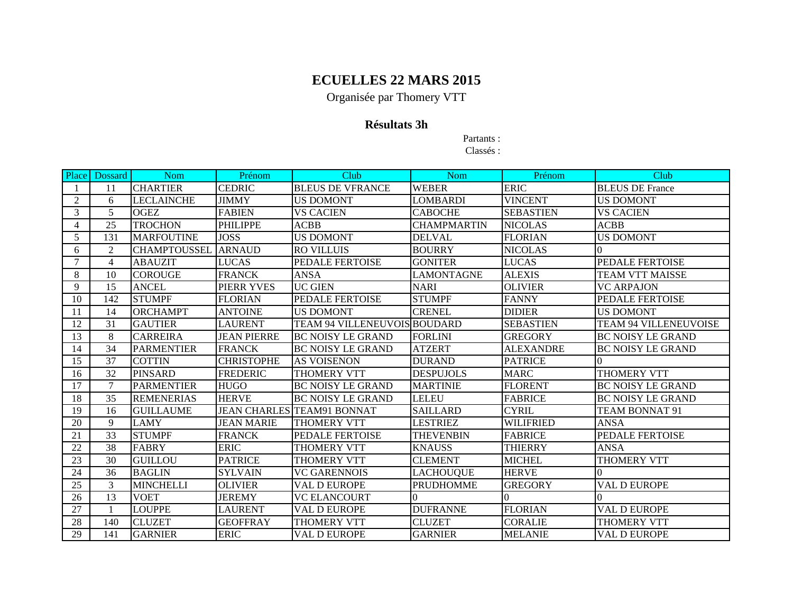Organisée par Thomery VTT

### **Résultats 3h**

Partants :

| Place          | Dossard        | <b>Nom</b>          | Prénom             | Club                              | Nom                | Prénom           | Club                         |
|----------------|----------------|---------------------|--------------------|-----------------------------------|--------------------|------------------|------------------------------|
|                | 11             | <b>CHARTIER</b>     | <b>CEDRIC</b>      | <b>BLEUS DE VFRANCE</b>           | <b>WEBER</b>       | <b>ERIC</b>      | <b>BLEUS DE France</b>       |
| $\overline{2}$ | 6              | LECLAINCHE          | <b>JIMMY</b>       | <b>US DOMONT</b>                  | LOMBARDI           | <b>VINCENT</b>   | <b>US DOMONT</b>             |
| 3              | 5              | <b>OGEZ</b>         | <b>FABIEN</b>      | <b>VS CACIEN</b>                  | <b>CABOCHE</b>     | <b>SEBASTIEN</b> | <b>VS CACIEN</b>             |
| 4              | 25             | <b>TROCHON</b>      | <b>PHILIPPE</b>    | ACBB                              | <b>CHAMPMARTIN</b> | <b>NICOLAS</b>   | <b>ACBB</b>                  |
| 5              | 131            | <b>MARFOUTINE</b>   | <b>JOSS</b>        | <b>US DOMONT</b>                  | <b>DELVAL</b>      | <b>FLORIAN</b>   | <b>US DOMONT</b>             |
| 6              | 2              | <b>CHAMPTOUSSEL</b> | <b>ARNAUD</b>      | <b>RO VILLUIS</b>                 | <b>BOURRY</b>      | <b>NICOLAS</b>   | 0                            |
| $\overline{7}$ | $\overline{4}$ | <b>ABAUZIT</b>      | <b>LUCAS</b>       | <b>PEDALE FERTOISE</b>            | <b>GONITER</b>     | <b>LUCAS</b>     | PEDALE FERTOISE              |
| 8              | 10             | <b>COROUGE</b>      | <b>FRANCK</b>      | ANSA                              | <b>LAMONTAGNE</b>  | <b>ALEXIS</b>    | TEAM VTT MAISSE              |
| 9              | 15             | <b>ANCEL</b>        | PIERR YVES         | <b>UC GIEN</b>                    | <b>NARI</b>        | <b>OLIVIER</b>   | <b>VC ARPAJON</b>            |
| 10             | 142            | <b>STUMPF</b>       | <b>FLORIAN</b>     | <b>PEDALE FERTOISE</b>            | <b>STUMPF</b>      | <b>FANNY</b>     | PEDALE FERTOISE              |
| 11             | 14             | <b>ORCHAMPT</b>     | <b>ANTOINE</b>     | <b>US DOMONT</b>                  | <b>CRENEL</b>      | <b>DIDIER</b>    | <b>US DOMONT</b>             |
| 12             | 31             | <b>GAUTIER</b>      | <b>LAURENT</b>     | TEAM 94 VILLENEUVOIS BOUDARD      |                    | <b>SEBASTIEN</b> | <b>TEAM 94 VILLENEUVOISE</b> |
| 13             | 8              | <b>CARREIRA</b>     | <b>JEAN PIERRE</b> | <b>BC NOISY LE GRAND</b>          | <b>FORLINI</b>     | <b>GREGORY</b>   | <b>BC NOISY LE GRAND</b>     |
| 14             | 34             | <b>PARMENTIER</b>   | <b>FRANCK</b>      | <b>BC NOISY LE GRAND</b>          | <b>ATZERT</b>      | <b>ALEXANDRE</b> | <b>BC NOISY LE GRAND</b>     |
| 15             | 37             | <b>COTTIN</b>       | <b>CHRISTOPHE</b>  | <b>AS VOISENON</b>                | <b>DURAND</b>      | <b>PATRICE</b>   | $\Omega$                     |
| 16             | 32             | <b>PINSARD</b>      | <b>FREDERIC</b>    | <b>THOMERY VTT</b>                | <b>DESPUJOLS</b>   | <b>MARC</b>      | <b>THOMERY VTT</b>           |
| 17             | 7              | <b>PARMENTIER</b>   | <b>HUGO</b>        | <b>BC NOISY LE GRAND</b>          | <b>MARTINIE</b>    | <b>FLORENT</b>   | <b>BC NOISY LE GRAND</b>     |
| 18             | 35             | <b>REMENERIAS</b>   | <b>HERVE</b>       | <b>BC NOISY LE GRAND</b>          | <b>LELEU</b>       | <b>FABRICE</b>   | <b>BC NOISY LE GRAND</b>     |
| 19             | 16             | <b>GUILLAUME</b>    |                    | <b>JEAN CHARLES TEAM91 BONNAT</b> | <b>SAILLARD</b>    | <b>CYRIL</b>     | TEAM BONNAT 91               |
| 20             | $\mathbf{Q}$   | <b>LAMY</b>         | <b>JEAN MARIE</b>  | <b>THOMERY VTT</b>                | <b>LESTRIEZ</b>    | <b>WILIFRIED</b> | <b>ANSA</b>                  |
| 21             | 33             | <b>STUMPF</b>       | <b>FRANCK</b>      | PEDALE FERTOISE                   | <b>THEVENBIN</b>   | <b>FABRICE</b>   | <b>PEDALE FERTOISE</b>       |
| 22             | 38             | <b>FABRY</b>        | <b>ERIC</b>        | <b>THOMERY VTT</b>                | <b>KNAUSS</b>      | <b>THIERRY</b>   | <b>ANSA</b>                  |
| 23             | 30             | <b>GUILLOU</b>      | <b>PATRICE</b>     | THOMERY VTT                       | <b>CLEMENT</b>     | <b>MICHEL</b>    | <b>THOMERY VTT</b>           |
| 24             | 36             | <b>BAGLIN</b>       | <b>SYLVAIN</b>     | <b>VC GARENNOIS</b>               | <b>LACHOUQUE</b>   | <b>HERVE</b>     | $\Omega$                     |
| 25             | 3              | <b>MINCHELLI</b>    | <b>OLIVIER</b>     | VAL D EUROPE                      | <b>PRUDHOMME</b>   | <b>GREGORY</b>   | <b>VAL D EUROPE</b>          |
| 26             | 13             | <b>VOET</b>         | <b>JEREMY</b>      | <b>VC ELANCOURT</b>               |                    |                  |                              |
| 27             |                | <b>LOUPPE</b>       | <b>LAURENT</b>     | VAL D EUROPE                      | <b>DUFRANNE</b>    | <b>FLORIAN</b>   | <b>VAL D EUROPE</b>          |
| 28             | 140            | <b>CLUZET</b>       | <b>GEOFFRAY</b>    | THOMERY VTT                       | <b>CLUZET</b>      | <b>CORALIE</b>   | <b>THOMERY VTT</b>           |
| 29             | 141            | <b>GARNIER</b>      | <b>ERIC</b>        | <b>VAL D EUROPE</b>               | <b>GARNIER</b>     | <b>MELANIE</b>   | <b>VAL D EUROPE</b>          |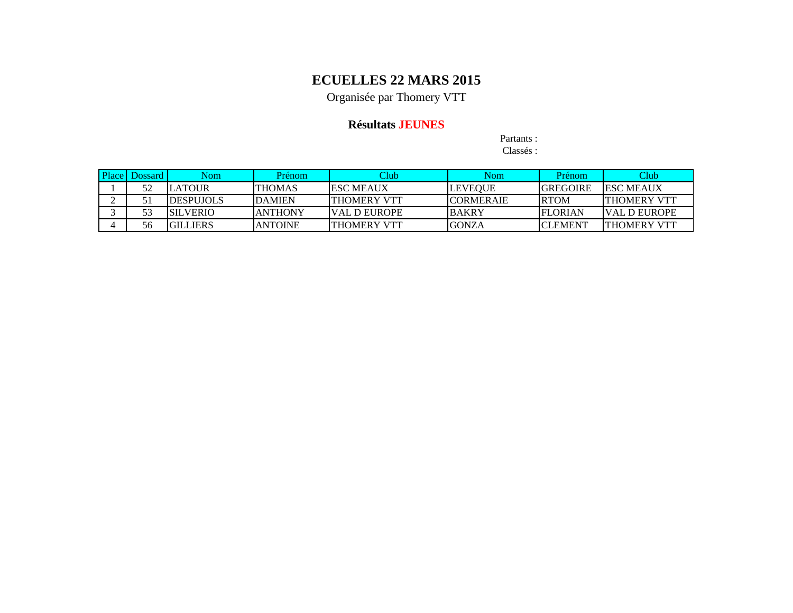Organisée par Thomery VTT

### **Résultats JEUNES**

Partants :

| Place | Dossard I | Nom.              | Prénom         | Club                 | Nom.              | Prénom          | Club                 |
|-------|-----------|-------------------|----------------|----------------------|-------------------|-----------------|----------------------|
|       | 52        | LATOUR            | <b>THOMAS</b>  | <b>IESC MEAUX</b>    | LEVEOUE           | <b>GREGOIRE</b> | <b>IESC MEAUX</b>    |
|       |           | <b>IDESPUJOLS</b> | <b>IDAMIEN</b> | ITHOMERY VTT         | <b>ICORMERAIE</b> | <b>RTOM</b>     | <b>ITHOMERY VTT</b>  |
|       |           | <b>ISILVERIO</b>  | IANTHONY       | <b>IVAL D EUROPE</b> | <b>BAKRY</b>      | <b>FLORIAN</b>  | <b>IVAL D EUROPE</b> |
|       | 56        | <b>IGILLIERS</b>  | IANTOINE       | ITHOMERY VTT         | <b>IGONZA</b>     | <b>CLEMENT</b>  | <b>ITHOMERY VTT</b>  |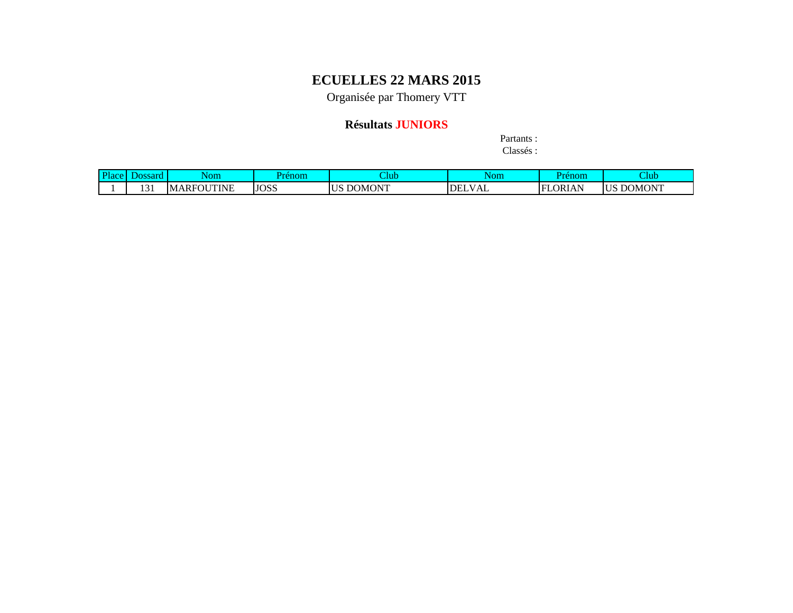Organisée par Thomery VTT

### **Résultats JUNIORS**

Partants : Classés :

| <b>Plac</b> | <b>0000+</b><br>л<br><b>ANGLE</b> | Nom                         | Prenom      | Club                | Nom                    | renom               | Aub                 |
|-------------|-----------------------------------|-----------------------------|-------------|---------------------|------------------------|---------------------|---------------------|
|             | $\sim$<br>1 J 1                   | UTINE<br>₹OU<br>MARF<br>' M | <b>JOSS</b> | <b>JOMONT</b><br>ັບ | T<br><b>DEL</b><br>VAL | <b>LORIAN</b><br>EI | DOMONT<br><b>US</b> |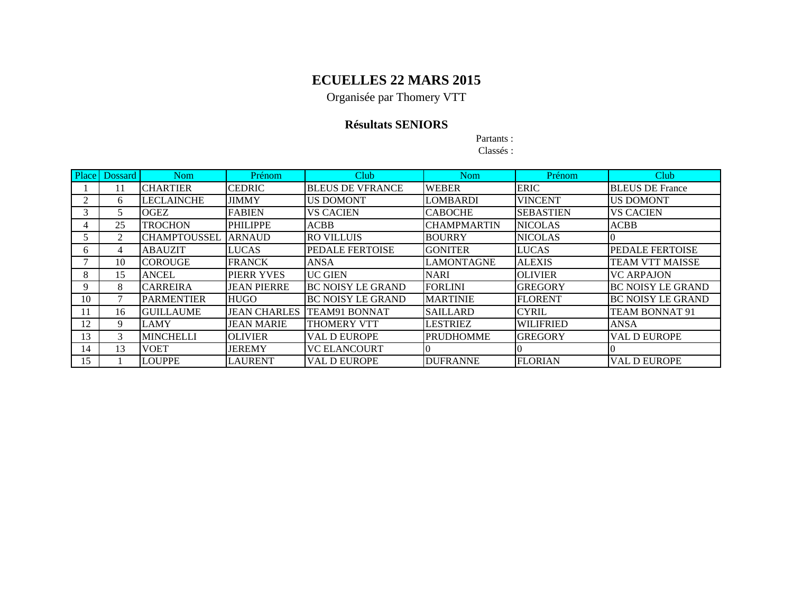Organisée par Thomery VTT

### **Résultats SENIORS**

Partants :

| Place        | Dossard | <b>Nom</b>          | Prénom              | Club                     | <b>Nom</b>         | Prénom           | Club                     |
|--------------|---------|---------------------|---------------------|--------------------------|--------------------|------------------|--------------------------|
|              | 11      | <b>CHARTIER</b>     | <b>CEDRIC</b>       | <b>BLEUS DE VFRANCE</b>  | <b>WEBER</b>       | <b>ERIC</b>      | <b>BLEUS DE France</b>   |
| 2            | 6       | <b>LECLAINCHE</b>   | <b>JIMMY</b>        | <b>US DOMONT</b>         | <b>LOMBARDI</b>    | <b>VINCENT</b>   | <b>US DOMONT</b>         |
|              | 5       | <b>OGEZ</b>         | <b>FABIEN</b>       | <b>VS CACIEN</b>         | <b>CABOCHE</b>     | <b>SEBASTIEN</b> | <b>VS CACIEN</b>         |
|              | 25      | <b>TROCHON</b>      | <b>PHILIPPE</b>     | <b>ACBB</b>              | <b>CHAMPMARTIN</b> | <b>NICOLAS</b>   | <b>ACBB</b>              |
|              | 2       | <b>CHAMPTOUSSEL</b> | <b>ARNAUD</b>       | <b>RO VILLUIS</b>        | <b>BOURRY</b>      | <b>NICOLAS</b>   |                          |
| <sub>n</sub> | 4       | <b>ABAUZIT</b>      | <b>LUCAS</b>        | PEDALE FERTOISE          | <b>GONITER</b>     | <b>LUCAS</b>     | <b>PEDALE FERTOISE</b>   |
|              | 10      | <b>ICOROUGE</b>     | <b>FRANCK</b>       | <b>ANSA</b>              | <b>LAMONTAGNE</b>  | <b>ALEXIS</b>    | <b>TEAM VTT MAISSE</b>   |
| 8            | 15      | <b>ANCEL</b>        | PIERR YVES          | <b>UC GIEN</b>           | <b>NARI</b>        | <b>OLIVIER</b>   | <b>VC ARPAJON</b>        |
| 9            | 8       | <b>CARREIRA</b>     | <b>JEAN PIERRE</b>  | <b>BC NOISY LE GRAND</b> | <b>FORLINI</b>     | <b>IGREGORY</b>  | <b>BC NOISY LE GRAND</b> |
| 10           |         | <b>PARMENTIER</b>   | <b>HUGO</b>         | <b>BC NOISY LE GRAND</b> | <b>MARTINIE</b>    | <b>FLORENT</b>   | <b>BC NOISY LE GRAND</b> |
|              | 16      | <b>GUILLAUME</b>    | <b>JEAN CHARLES</b> | <b>TEAM91 BONNAT</b>     | <b>SAILLARD</b>    | <b>CYRIL</b>     | <b>TEAM BONNAT 91</b>    |
| 12           | 9       | <b>LAMY</b>         | <b>JEAN MARIE</b>   | <b>THOMERY VTT</b>       | <b>LESTRIEZ</b>    | <b>WILIFRIED</b> | <b>ANSA</b>              |
| 13           | 3       | <b>MINCHELLI</b>    | <b>OLIVIER</b>      | <b>VAL D EUROPE</b>      | <b>PRUDHOMME</b>   | <b>GREGORY</b>   | <b>VAL D EUROPE</b>      |
| 14           | 13      | <b>VOET</b>         | <b>JEREMY</b>       | <b>VC ELANCOURT</b>      |                    |                  |                          |
| 15           |         | <b>LOUPPE</b>       | <b>LAURENT</b>      | <b>VAL D EUROPE</b>      | <b>DUFRANNE</b>    | <b>FLORIAN</b>   | <b>VAL D EUROPE</b>      |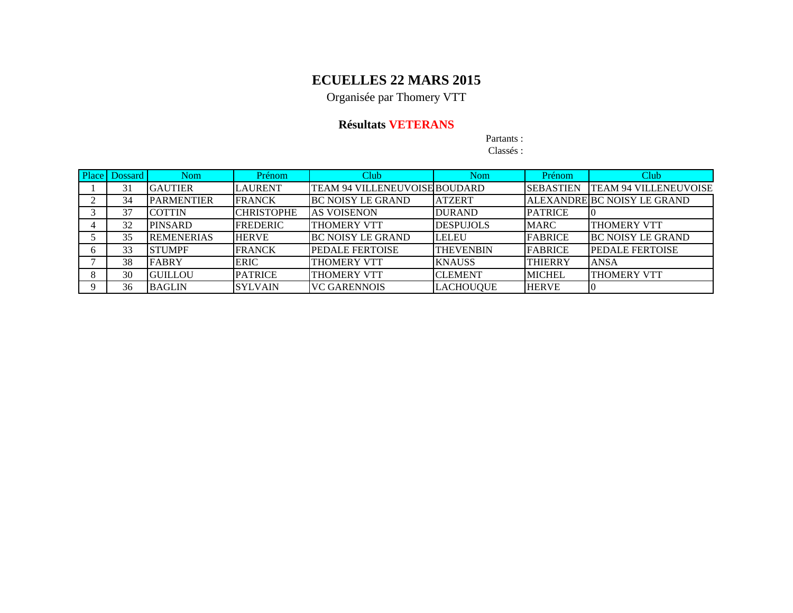Organisée par Thomery VTT

### **Résultats VETERANS**

Partants :

| <b>Place</b> | Dossard | <b>Nom</b>        | Prénom            | Club                          | <b>Nom</b>       | Prénom           | Club                         |
|--------------|---------|-------------------|-------------------|-------------------------------|------------------|------------------|------------------------------|
|              | 31      | <b>GAUTIER</b>    | LAURENT           | TEAM 94 VILLENEUVOISE BOUDARD |                  | <b>SEBASTIEN</b> | <b>TEAM 94 VILLENEUVOISE</b> |
|              | 34      | <b>PARMENTIER</b> | <b>FRANCK</b>     | <b>BC NOISY LE GRAND</b>      | <b>ATZERT</b>    |                  | ALEXANDRE BC NOISY LE GRAND  |
|              | 37      | <b>COTTIN</b>     | <b>CHRISTOPHE</b> | IAS VOISENON                  | <b>DURAND</b>    | <b>PATRICE</b>   |                              |
|              | 32      | PINSARD           | <b>FREDERIC</b>   | <b>THOMERY VTT</b>            | <b>DESPUJOLS</b> | <b>MARC</b>      | <b>THOMERY VTT</b>           |
|              | 35      | <b>REMENERIAS</b> | <b>HERVE</b>      | <b>BC NOISY LE GRAND</b>      | <b>LELEU</b>     | <b>FABRICE</b>   | <b>BC NOISY LE GRAND</b>     |
|              | 33      | <b>STUMPF</b>     | <b>FRANCK</b>     | <b>PEDALE FERTOISE</b>        | <b>THEVENBIN</b> | <b>FABRICE</b>   | <b>PEDALE FERTOISE</b>       |
|              | 38      | <b>FABRY</b>      | <b>ERIC</b>       | THOMERY VTT                   | <b>KNAUSS</b>    | <b>THIERRY</b>   | <b>ANSA</b>                  |
|              | 30      | IGUILLOU          | <b>PATRICE</b>    | <b>THOMERY VTT</b>            | <b>CLEMENT</b>   | <b>MICHEL</b>    | <b>THOMERY VTT</b>           |
|              | 36      | <b>BAGLIN</b>     | <b>SYLVAIN</b>    | <b>VC GARENNOIS</b>           | LACHOUQUE        | <b>HERVE</b>     | -10                          |